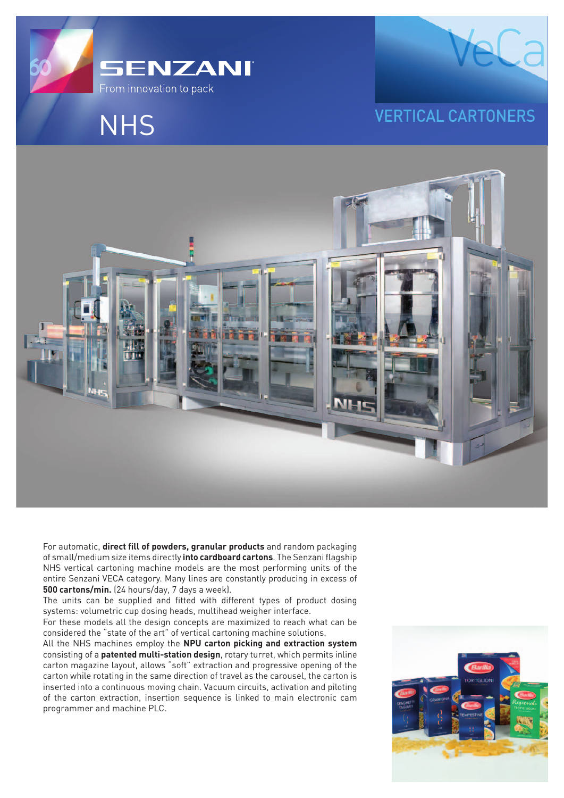

## **NHS**





For automatic, **direct fill of powders, granular products** and random packaging of small/medium size items directly **into cardboard cartons**. The Senzani flagship NHS vertical cartoning machine models are the most performing units of the entire Senzani VECA category. Many lines are constantly producing in excess of **500 cartons/min.** (24 hours/day, 7 days a week).

The units can be supplied and fitted with different types of product dosing systems: volumetric cup dosing heads, multihead weigher interface.

For these models all the design concepts are maximized to reach what can be considered the "state of the art" of vertical cartoning machine solutions.

All the NHS machines employ the **NPU carton picking and extraction system** consisting of a **patented multi-station design**, rotary turret, which permits inline carton magazine layout, allows "soft" extraction and progressive opening of the carton while rotating in the same direction of travel as the carousel, the carton is inserted into a continuous moving chain. Vacuum circuits, activation and piloting of the carton extraction, insertion sequence is linked to main electronic cam programmer and machine PLC.